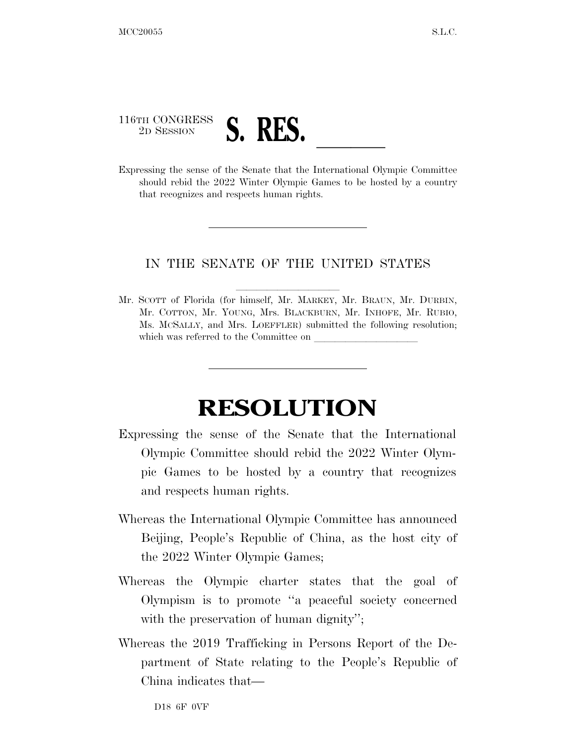## 116TH CONGRESS

2D SESSION **S. RES. LLS. LETTER** Expressing the sense of the Senate that the International Olympic Committee should rebid the 2022 Winter Olympic Games to be hosted by a country that recognizes and respects human rights.

## IN THE SENATE OF THE UNITED STATES

Mr. SCOTT of Florida (for himself, Mr. MARKEY, Mr. BRAUN, Mr. DURBIN, Mr. COTTON, Mr. YOUNG, Mrs. BLACKBURN, Mr. INHOFE, Mr. RUBIO, Ms. MCSALLY, and Mrs. LOEFFLER) submitted the following resolution; which was referred to the Committee on

## **RESOLUTION**

- Expressing the sense of the Senate that the International Olympic Committee should rebid the 2022 Winter Olympic Games to be hosted by a country that recognizes and respects human rights.
- Whereas the International Olympic Committee has announced Beijing, People's Republic of China, as the host city of the 2022 Winter Olympic Games;
- Whereas the Olympic charter states that the goal of Olympism is to promote ''a peaceful society concerned with the preservation of human dignity'';
- Whereas the 2019 Trafficking in Persons Report of the Department of State relating to the People's Republic of China indicates that—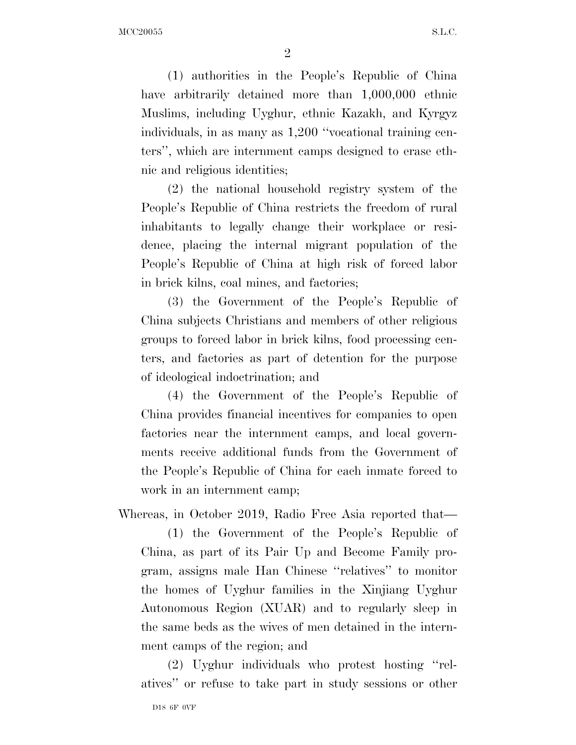(1) authorities in the People's Republic of China have arbitrarily detained more than  $1,000,000$  ethnic Muslims, including Uyghur, ethnic Kazakh, and Kyrgyz individuals, in as many as 1,200 ''vocational training centers'', which are internment camps designed to erase ethnic and religious identities;

(2) the national household registry system of the People's Republic of China restricts the freedom of rural inhabitants to legally change their workplace or residence, placing the internal migrant population of the People's Republic of China at high risk of forced labor in brick kilns, coal mines, and factories;

(3) the Government of the People's Republic of China subjects Christians and members of other religious groups to forced labor in brick kilns, food processing centers, and factories as part of detention for the purpose of ideological indoctrination; and

(4) the Government of the People's Republic of China provides financial incentives for companies to open factories near the internment camps, and local governments receive additional funds from the Government of the People's Republic of China for each inmate forced to work in an internment camp;

Whereas, in October 2019, Radio Free Asia reported that—

(1) the Government of the People's Republic of China, as part of its Pair Up and Become Family program, assigns male Han Chinese ''relatives'' to monitor the homes of Uyghur families in the Xinjiang Uyghur Autonomous Region (XUAR) and to regularly sleep in the same beds as the wives of men detained in the internment camps of the region; and

(2) Uyghur individuals who protest hosting ''relatives'' or refuse to take part in study sessions or other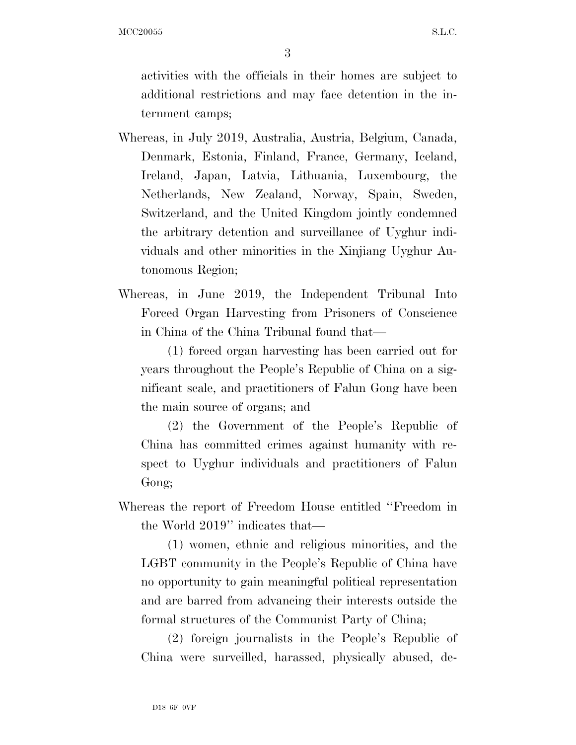MCC20055 S.L.C.

3

activities with the officials in their homes are subject to additional restrictions and may face detention in the internment camps;

- Whereas, in July 2019, Australia, Austria, Belgium, Canada, Denmark, Estonia, Finland, France, Germany, Iceland, Ireland, Japan, Latvia, Lithuania, Luxembourg, the Netherlands, New Zealand, Norway, Spain, Sweden, Switzerland, and the United Kingdom jointly condemned the arbitrary detention and surveillance of Uyghur individuals and other minorities in the Xinjiang Uyghur Autonomous Region;
- Whereas, in June 2019, the Independent Tribunal Into Forced Organ Harvesting from Prisoners of Conscience in China of the China Tribunal found that—

(1) forced organ harvesting has been carried out for years throughout the People's Republic of China on a significant scale, and practitioners of Falun Gong have been the main source of organs; and

(2) the Government of the People's Republic of China has committed crimes against humanity with respect to Uyghur individuals and practitioners of Falun Gong;

Whereas the report of Freedom House entitled ''Freedom in the World 2019'' indicates that—

(1) women, ethnic and religious minorities, and the LGBT community in the People's Republic of China have no opportunity to gain meaningful political representation and are barred from advancing their interests outside the formal structures of the Communist Party of China;

(2) foreign journalists in the People's Republic of China were surveilled, harassed, physically abused, de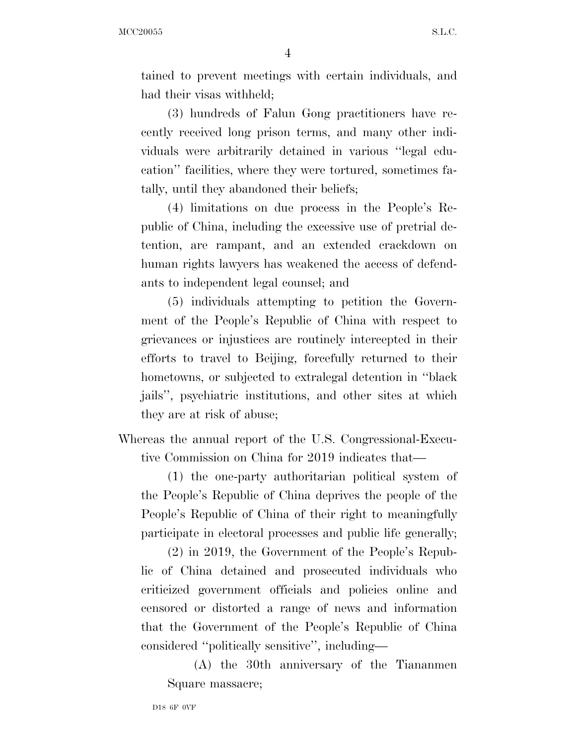MCC20055 S.L.C.

4

tained to prevent meetings with certain individuals, and had their visas withheld;

(3) hundreds of Falun Gong practitioners have recently received long prison terms, and many other individuals were arbitrarily detained in various ''legal education'' facilities, where they were tortured, sometimes fatally, until they abandoned their beliefs;

(4) limitations on due process in the People's Republic of China, including the excessive use of pretrial detention, are rampant, and an extended crackdown on human rights lawyers has weakened the access of defendants to independent legal counsel; and

(5) individuals attempting to petition the Government of the People's Republic of China with respect to grievances or injustices are routinely intercepted in their efforts to travel to Beijing, forcefully returned to their hometowns, or subjected to extralegal detention in ''black jails'', psychiatric institutions, and other sites at which they are at risk of abuse;

Whereas the annual report of the U.S. Congressional-Executive Commission on China for 2019 indicates that—

(1) the one-party authoritarian political system of the People's Republic of China deprives the people of the People's Republic of China of their right to meaningfully participate in electoral processes and public life generally;

(2) in 2019, the Government of the People's Republic of China detained and prosecuted individuals who criticized government officials and policies online and censored or distorted a range of news and information that the Government of the People's Republic of China considered ''politically sensitive'', including—

(A) the 30th anniversary of the Tiananmen Square massacre;

D18 6F 0VF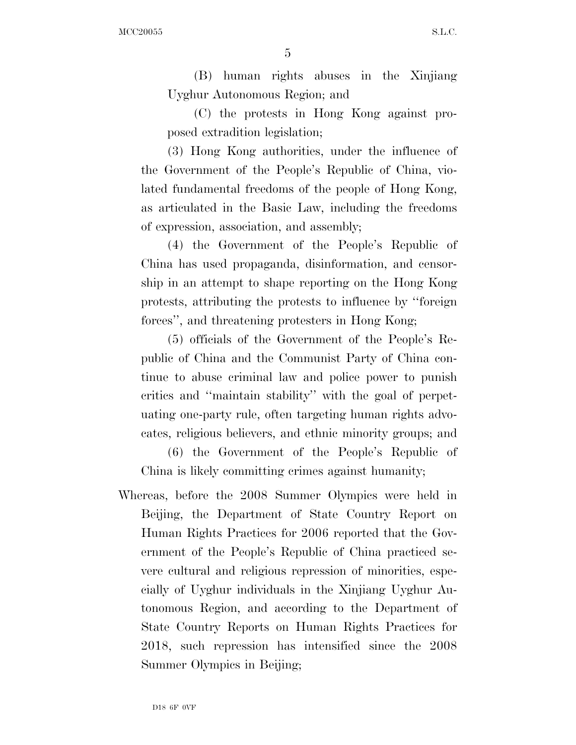(B) human rights abuses in the Xinjiang Uyghur Autonomous Region; and

(C) the protests in Hong Kong against proposed extradition legislation;

(3) Hong Kong authorities, under the influence of the Government of the People's Republic of China, violated fundamental freedoms of the people of Hong Kong, as articulated in the Basic Law, including the freedoms of expression, association, and assembly;

(4) the Government of the People's Republic of China has used propaganda, disinformation, and censorship in an attempt to shape reporting on the Hong Kong protests, attributing the protests to influence by ''foreign forces'', and threatening protesters in Hong Kong;

(5) officials of the Government of the People's Republic of China and the Communist Party of China continue to abuse criminal law and police power to punish critics and ''maintain stability'' with the goal of perpetuating one-party rule, often targeting human rights advocates, religious believers, and ethnic minority groups; and

(6) the Government of the People's Republic of China is likely committing crimes against humanity;

Whereas, before the 2008 Summer Olympics were held in Beijing, the Department of State Country Report on Human Rights Practices for 2006 reported that the Government of the People's Republic of China practiced severe cultural and religious repression of minorities, especially of Uyghur individuals in the Xinjiang Uyghur Autonomous Region, and according to the Department of State Country Reports on Human Rights Practices for 2018, such repression has intensified since the 2008 Summer Olympics in Beijing;

D18 6F 0VF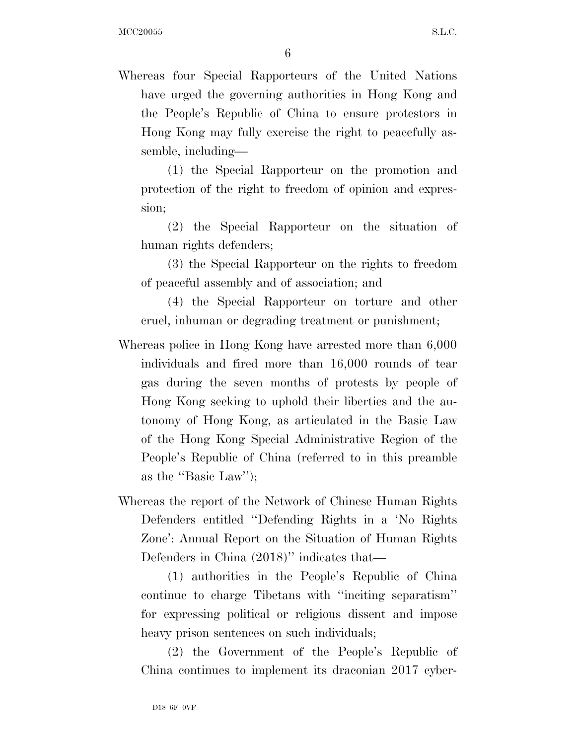Whereas four Special Rapporteurs of the United Nations have urged the governing authorities in Hong Kong and the People's Republic of China to ensure protestors in Hong Kong may fully exercise the right to peacefully assemble, including—

(1) the Special Rapporteur on the promotion and protection of the right to freedom of opinion and expression;

(2) the Special Rapporteur on the situation of human rights defenders;

(3) the Special Rapporteur on the rights to freedom of peaceful assembly and of association; and

(4) the Special Rapporteur on torture and other cruel, inhuman or degrading treatment or punishment;

- Whereas police in Hong Kong have arrested more than 6,000 individuals and fired more than 16,000 rounds of tear gas during the seven months of protests by people of Hong Kong seeking to uphold their liberties and the autonomy of Hong Kong, as articulated in the Basic Law of the Hong Kong Special Administrative Region of the People's Republic of China (referred to in this preamble as the ''Basic Law'');
- Whereas the report of the Network of Chinese Human Rights Defenders entitled ''Defending Rights in a 'No Rights Zone': Annual Report on the Situation of Human Rights Defenders in China  $(2018)$ " indicates that—

(1) authorities in the People's Republic of China continue to charge Tibetans with ''inciting separatism'' for expressing political or religious dissent and impose heavy prison sentences on such individuals;

(2) the Government of the People's Republic of China continues to implement its draconian 2017 cyber-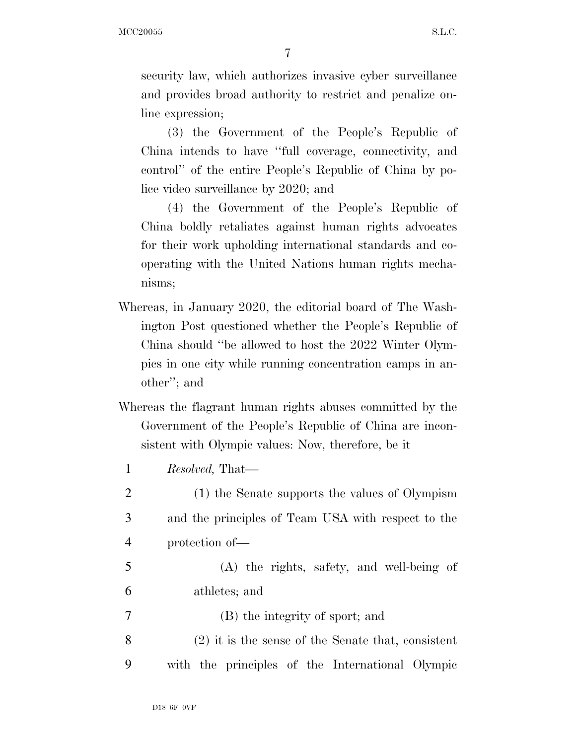security law, which authorizes invasive cyber surveillance and provides broad authority to restrict and penalize online expression;

(3) the Government of the People's Republic of China intends to have ''full coverage, connectivity, and control'' of the entire People's Republic of China by police video surveillance by 2020; and

(4) the Government of the People's Republic of China boldly retaliates against human rights advocates for their work upholding international standards and cooperating with the United Nations human rights mechanisms;

- Whereas, in January 2020, the editorial board of The Washington Post questioned whether the People's Republic of China should ''be allowed to host the 2022 Winter Olympics in one city while running concentration camps in another''; and
- Whereas the flagrant human rights abuses committed by the Government of the People's Republic of China are inconsistent with Olympic values: Now, therefore, be it

| $\mathbf{1}$   | <i>Resolved</i> , That—                              |
|----------------|------------------------------------------------------|
| $\overline{2}$ | (1) the Senate supports the values of Olympism       |
| 3              | and the principles of Team USA with respect to the   |
| $\overline{4}$ | protection of-                                       |
| 5              | $(A)$ the rights, safety, and well-being of          |
| 6              | athletes; and                                        |
| 7              | (B) the integrity of sport; and                      |
| 8              | $(2)$ it is the sense of the Senate that, consistent |
| 9              | with the principles of the International Olympic     |
|                |                                                      |